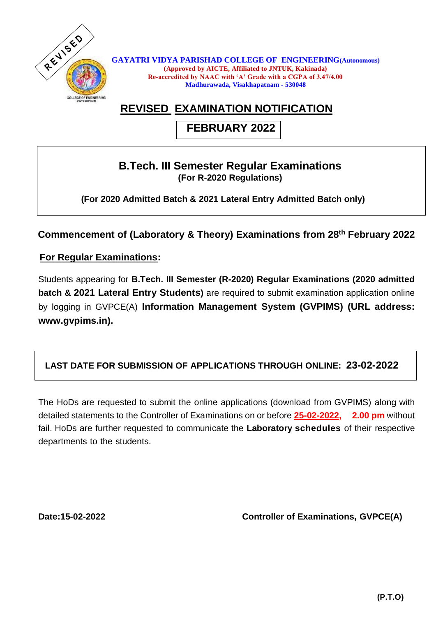

**GAYATRI VIDYA PARISHAD COLLEGE OF ENGINEERING(Autonomous) (Approved by AICTE, Affiliated to JNTUK, Kakinada) Re-accredited by NAAC with 'A' Grade with a CGPA of 3.47/4.00 Madhurawada, Visakhapatnam - 530048**

# **REVISED EXAMINATION NOTIFICATION**

## **FEBRUARY 2022**

#### **B.Tech. III Semester Regular Examinations (For R-2020 Regulations)**

 **(For 2020 Admitted Batch & 2021 Lateral Entry Admitted Batch only)**

**Commencement of (Laboratory & Theory) Examinations from 28 th February 2022**

 **For Regular Examinations:**

Students appearing for **B.Tech. III Semester (R-2020) Regular Examinations (2020 admitted batch & 2021 Lateral Entry Students)** are required to submit examination application online by logging in GVPCE(A) **Information Management System (GVPIMS) (URL address: www.gvpims.in).**

### **LAST DATE FOR SUBMISSION OF APPLICATIONS THROUGH ONLINE: 23-02-2022**

The HoDs are requested to submit the online applications (download from GVPIMS) along with detailed statements to the Controller of Examinations on or before **25-02-2022, 2.00 pm** without fail. HoDs are further requested to communicate the **Laboratory schedules** of their respective departments to the students.

**Date:15-02-2022 Controller of Examinations, GVPCE(A)**